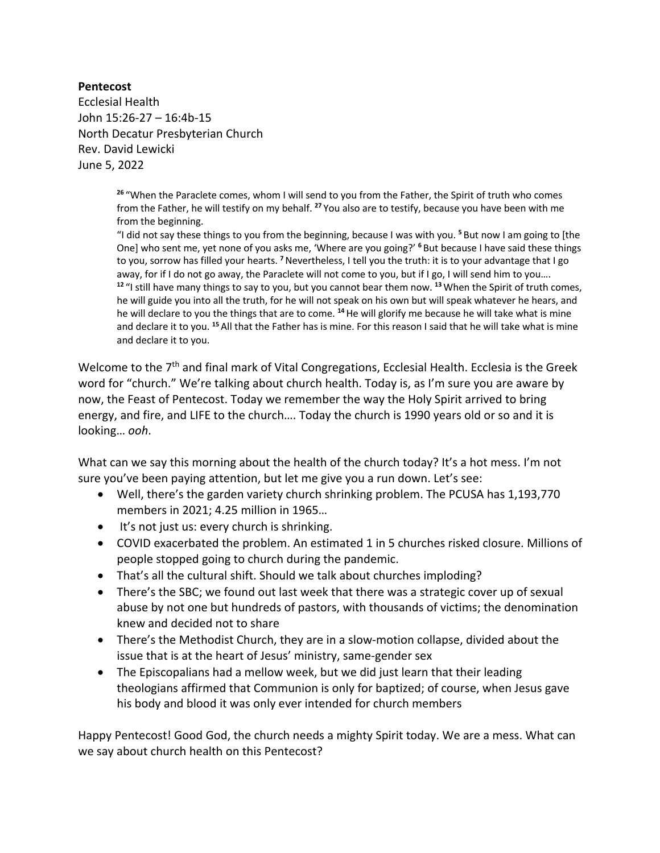## **Pentecost**

Ecclesial Health John 15:26-27 – 16:4b-15 North Decatur Presbyterian Church Rev. David Lewicki June 5, 2022

> **<sup>26</sup>** "When the Paraclete comes, whom I will send to you from the Father, the Spirit of truth who comes from the Father, he will testify on my behalf. **<sup>27</sup>** You also are to testify, because you have been with me from the beginning.

"I did not say these things to you from the beginning, because I was with you. **<sup>5</sup>** But now I am going to [the One] who sent me, yet none of you asks me, 'Where are you going?' **<sup>6</sup>** But because I have said these things to you, sorrow has filled your hearts. **<sup>7</sup>**Nevertheless, I tell you the truth: it is to your advantage that I go away, for if I do not go away, the Paraclete will not come to you, but if I go, I will send him to you…. **<sup>12</sup>** "I still have many things to say to you, but you cannot bear them now. **<sup>13</sup>**When the Spirit of truth comes, he will guide you into all the truth, for he will not speak on his own but will speak whatever he hears, and he will declare to you the things that are to come. **<sup>14</sup>**He will glorify me because he will take what is mine and declare it to you. **<sup>15</sup>** All that the Father has is mine. For this reason I said that he will take what is mine and declare it to you.

Welcome to the 7<sup>th</sup> and final mark of Vital Congregations, Ecclesial Health. Ecclesia is the Greek word for "church." We're talking about church health. Today is, as I'm sure you are aware by now, the Feast of Pentecost. Today we remember the way the Holy Spirit arrived to bring energy, and fire, and LIFE to the church…. Today the church is 1990 years old or so and it is looking… *ooh*.

What can we say this morning about the health of the church today? It's a hot mess. I'm not sure you've been paying attention, but let me give you a run down. Let's see:

- Well, there's the garden variety church shrinking problem. The PCUSA has 1,193,770 members in 2021; 4.25 million in 1965…
- It's not just us: every church is shrinking.
- COVID exacerbated the problem. An estimated 1 in 5 churches risked closure. Millions of people stopped going to church during the pandemic.
- That's all the cultural shift. Should we talk about churches imploding?
- There's the SBC; we found out last week that there was a strategic cover up of sexual abuse by not one but hundreds of pastors, with thousands of victims; the denomination knew and decided not to share
- There's the Methodist Church, they are in a slow-motion collapse, divided about the issue that is at the heart of Jesus' ministry, same-gender sex
- The Episcopalians had a mellow week, but we did just learn that their leading theologians affirmed that Communion is only for baptized; of course, when Jesus gave his body and blood it was only ever intended for church members

Happy Pentecost! Good God, the church needs a mighty Spirit today. We are a mess. What can we say about church health on this Pentecost?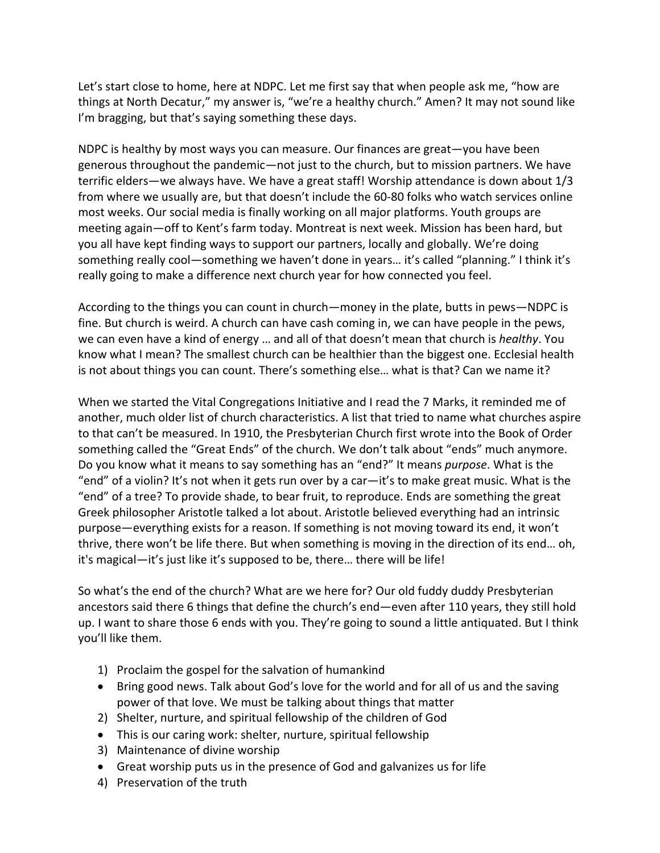Let's start close to home, here at NDPC. Let me first say that when people ask me, "how are things at North Decatur," my answer is, "we're a healthy church." Amen? It may not sound like I'm bragging, but that's saying something these days.

NDPC is healthy by most ways you can measure. Our finances are great—you have been generous throughout the pandemic—not just to the church, but to mission partners. We have terrific elders—we always have. We have a great staff! Worship attendance is down about 1/3 from where we usually are, but that doesn't include the 60-80 folks who watch services online most weeks. Our social media is finally working on all major platforms. Youth groups are meeting again—off to Kent's farm today. Montreat is next week. Mission has been hard, but you all have kept finding ways to support our partners, locally and globally. We're doing something really cool—something we haven't done in years... it's called "planning." I think it's really going to make a difference next church year for how connected you feel.

According to the things you can count in church—money in the plate, butts in pews—NDPC is fine. But church is weird. A church can have cash coming in, we can have people in the pews, we can even have a kind of energy … and all of that doesn't mean that church is *healthy*. You know what I mean? The smallest church can be healthier than the biggest one. Ecclesial health is not about things you can count. There's something else… what is that? Can we name it?

When we started the Vital Congregations Initiative and I read the 7 Marks, it reminded me of another, much older list of church characteristics. A list that tried to name what churches aspire to that can't be measured. In 1910, the Presbyterian Church first wrote into the Book of Order something called the "Great Ends" of the church. We don't talk about "ends" much anymore. Do you know what it means to say something has an "end?" It means *purpose*. What is the "end" of a violin? It's not when it gets run over by a car—it's to make great music. What is the "end" of a tree? To provide shade, to bear fruit, to reproduce. Ends are something the great Greek philosopher Aristotle talked a lot about. Aristotle believed everything had an intrinsic purpose—everything exists for a reason. If something is not moving toward its end, it won't thrive, there won't be life there. But when something is moving in the direction of its end… oh, it's magical—it's just like it's supposed to be, there… there will be life!

So what's the end of the church? What are we here for? Our old fuddy duddy Presbyterian ancestors said there 6 things that define the church's end—even after 110 years, they still hold up. I want to share those 6 ends with you. They're going to sound a little antiquated. But I think you'll like them.

- 1) Proclaim the gospel for the salvation of humankind
- Bring good news. Talk about God's love for the world and for all of us and the saving power of that love. We must be talking about things that matter
- 2) Shelter, nurture, and spiritual fellowship of the children of God
- This is our caring work: shelter, nurture, spiritual fellowship
- 3) Maintenance of divine worship
- Great worship puts us in the presence of God and galvanizes us for life
- 4) Preservation of the truth